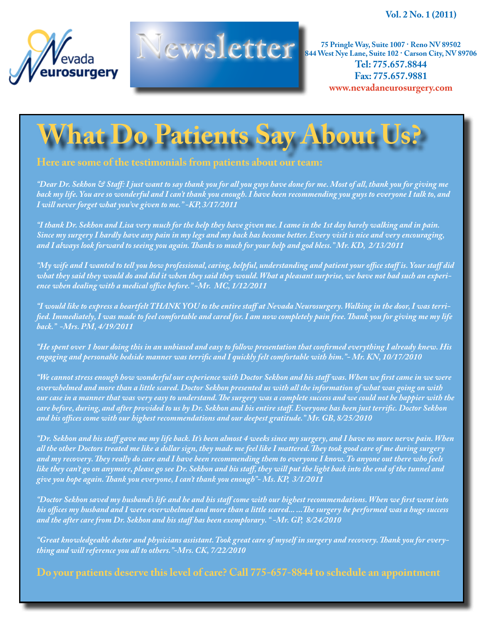**Vol. 2 No. 1 (2011)**





**Newsletter** 25 Pringle Way, Suite 1007 · Reno NV 89502<br> **75 Pringle Way, Suite 1007 · Reno NV 89502**<br> **75 Pringle Way, Suite 1007 · Reno NV 89502**<br> **761: 775.657.8844 844 West Nye Lane, Suite 102 · Carson City, NV 89706 Tel: 775.657.8844 Fax: 775.657.9881 www.nevadaneurosurgery.com**

## **What Do Patients Say About Us?**

## **Here are some of the testimonials from patients about our team:**

*"Dear Dr. Sekhon & Staff: I just want to say thank you for all you guys have done for me. Most of all, thank you for giving me back my life. You are so wonderful and I can't thank you enough. I have been recommending you guys to everyone I talk to, and I will never forget what you've given to me." -KP, 3/17/2011*

*"I thank Dr. Sekhon and Lisa very much for the help they have given me. I came in the 1st day barely walking and in pain. Since my surgery I hardly have any pain in my legs and my back has become better. Every visit is nice and very encouraging, and I always look forward to seeing you again. Thanks so much for your help and god bless." Mr. KD, 2/13/2011*

*"My wife and I wanted to tell you how professional, caring, helpful, understanding and patient your office staff is. Your staff did what they said they would do and did it when they said they would. What a pleasant surprise, we have not had such an experience when dealing with a medical office before." -Mr. MC, 1/12/2011*

*"I would like to express a heartfelt THANK YOU to the entire staff at Nevada Neurosurgery. Walking in the door, I was terrified. Immediately, I was made to feel comfortable and cared for. I am now completely pain free. Thank you for giving me my life back." -Mrs. PM, 4/19/2011*

*"He spent over 1 hour doing this in an unbiased and easy to follow presentation that confirmed everything I already knew. His engaging and personable bedside manner was terrific and I quickly felt comfortable with him."- Mr. KN, 10/17/2010*

*"We cannot stress enough how wonderful our experience with Doctor Sekhon and his staff was. When we first came in we were overwhelmed and more than a little scared. Doctor Sekhon presented us with all the information of what was going on with our case in a manner that was very easy to understand. The surgery was a complete success and we could not be happier with the care before, during, and after provided to us by Dr. Sekhon and his entire staff. Everyone has been just terrific. Doctor Sekhon and his offices come with our highest recommendations and our deepest gratitude." Mr. GB, 8/25/2010*

*"Dr. Sekhon and his staff gave me my life back. It's been almost 4 weeks since my surgery, and I have no more nerve pain. When all the other Doctors treated me like a dollar sign, they made me feel like I mattered. They took good care of me during surgery and my recovery. They really do care and I have been recommending them to everyone I know. To anyone out there who feels like they can't go on anymore, please go see Dr. Sekhon and his staff, they will put the light back into the end of the tunnel and give you hope again. Thank you everyone, I can't thank you enough"- Ms. KP, 3/1/2011*

*"Doctor Sekhon saved my husband's life and he and his staff come with our highest recommendations. When we first went into his offices my husband and I were overwhelmed and more than a little scared... ...The surgery he performed was a huge success and the after care from Dr. Sekhon and his staff has been exemplorary. " -Mr. GP, 8/24/2010*

*"Great knowledgeable doctor and physicians assistant. Took great care of myself in surgery and recovery. Thank you for everything and will reference you all to others."-Mrs. CK, 7/22/2010*

**Do your patients deserve this level of care? Call 775-657-8844 to schedule an appointment**